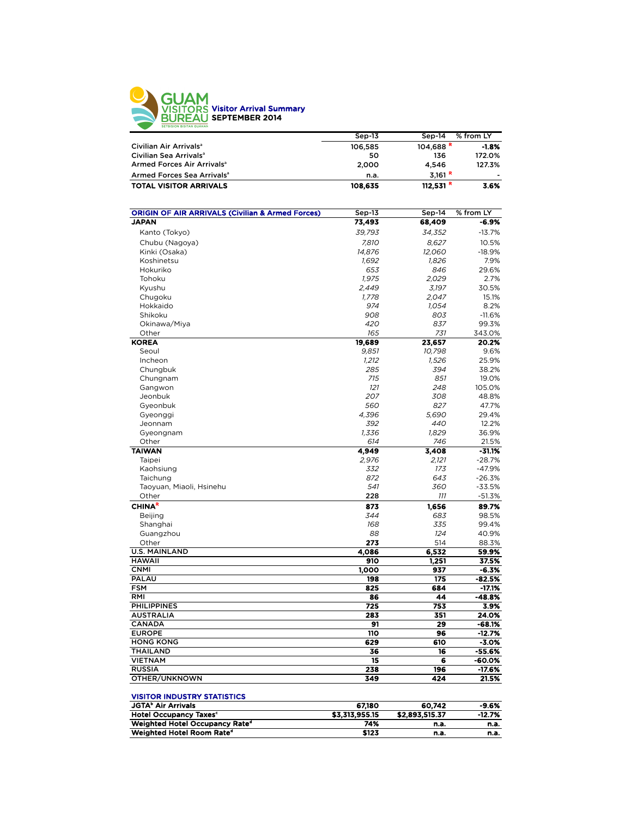

|                                                             | Sep-13         | Sep-14                 | % from LY         |
|-------------------------------------------------------------|----------------|------------------------|-------------------|
| Civilian Air Arrivals <sup>a</sup>                          | 106,585        | $104,688$ <sup>R</sup> | $-1.8%$           |
| Civilian Sea Arrivals <sup>a</sup>                          | 50             | 136                    | 172.0%            |
| Armed Forces Air Arrivals <sup>a</sup>                      | 2,000          | 4,546                  | 127.3%            |
| Armed Forces Sea Arrivals <sup>a</sup>                      | n.a.           | 3,161 R                |                   |
| <b>TOTAL VISITOR ARRIVALS</b>                               | 108,635        | 112,531 $R$            | 3.6%              |
|                                                             |                |                        |                   |
|                                                             |                |                        |                   |
| <b>ORIGIN OF AIR ARRIVALS (Civilian &amp; Armed Forces)</b> | Sep-13         | Sep-14                 | % from LY         |
| <b>JAPAN</b>                                                | 73,493         | 68,409                 | -6.9%             |
| Kanto (Tokyo)                                               | 39,793         | 34,352                 | $-13.7%$          |
| Chubu (Nagoya)                                              | 7,810          | 8,627                  | 10.5%             |
| Kinki (Osaka)                                               | 14,876         | 12,060                 | $-18.9%$          |
| Koshinetsu                                                  | 1,692          | 1,826                  | 7.9%              |
| Hokuriko                                                    | 653            | 846                    | 29.6%             |
| Tohoku                                                      | 1,975          | 2,029                  | 2.7%              |
| Kyushu                                                      | 2,449          | 3,197                  | 30.5%             |
| Chugoku                                                     | 1,778          | 2,047                  | 15.1%             |
| Hokkaido                                                    | 974            | 1,054                  | 8.2%              |
| Shikoku                                                     | 908            | 803                    | $-11.6%$          |
| Okinawa/Miya                                                | 420            | 837                    | 99.3%             |
| Other                                                       | 165            | 731                    | 343.0%            |
| <b>KOREA</b>                                                | 19,689         | 23,657                 | 20.2%<br>9.6%     |
| Seoul<br>Incheon                                            | 9,851<br>1,212 | 10,798<br>1,526        | 25.9%             |
| Chungbuk                                                    | 285            | 394                    | 38.2%             |
| Chungnam                                                    | 715            | 851                    | 19.0%             |
| Gangwon                                                     | 121            | 248                    | 105.0%            |
| Jeonbuk                                                     | 207            | 308                    | 48.8%             |
| Gyeonbuk                                                    | 560            | 827                    | 47.7%             |
| Gyeonggi                                                    | 4,396          | 5.690                  | 29.4%             |
| Jeonnam                                                     | 392            | 440                    | 12.2%             |
| Gyeongnam                                                   | 1,336          | 1,829                  | 36.9%             |
| Other                                                       | 614            | 746                    | 21.5%             |
| <b>TAIWAN</b>                                               | 4,949          | 3,408                  | $-31.1%$          |
| Taipei                                                      | 2,976          | 2,121                  | $-28.7%$          |
| Kaohsiung                                                   | 332            | 173                    | -47.9%            |
| Taichung                                                    | 872            | 643                    | $-26.3%$          |
| Taoyuan, Miaoli, Hsinehu                                    | 541            | 360                    | $-33.5%$          |
| Other                                                       | 228            | 111                    | $-51.3%$          |
| <b>CHINA<sup>R</sup></b>                                    | 873            | 1,656                  | 89.7%             |
| Beijing                                                     | 344            | 683                    | 98.5%             |
| Shanghai                                                    | 168            | 335                    | 99.4%             |
| Guangzhou                                                   | 88             | 124                    | 40.9%             |
| Other                                                       | 273            | 514                    | 88.3%             |
| <b>U.S. MAINLAND</b>                                        | 4,086          | 6,532                  | 59.9%             |
| <b>HAWAII</b>                                               | 910            | 1,251                  | 37.5%             |
| <b>CNMI</b><br>PALAU                                        | 1,000          | 937<br>175             | $-6.3%$<br>-82.5% |
| <b>FSM</b>                                                  | 198<br>825     | 684                    | $-17.1%$          |
| RMI                                                         | 86             | 44                     | -48.8%            |
| <b>PHILIPPINES</b>                                          | 725            | 753                    | 3.9%              |
| <b>AUSTRALIA</b>                                            | 283            | 351                    | 24.0%             |
| <b>CANADA</b>                                               | 91             | 29                     | $-68.1%$          |
| <b>EUROPE</b>                                               | <b>110</b>     | 96                     | $-12.7%$          |
| <b>HONG KONG</b>                                            | 629            | 610                    | $-3.0%$           |
| THAILAND                                                    | 36             | 16                     | $-55.6%$          |
| <b>VIETNAM</b>                                              | 15             | 6                      | -60.0%            |
| <b>RUSSIA</b>                                               | 238            | 196                    | -17.6%            |
| OTHER/UNKNOWN                                               | 349            | 424                    | 21.5%             |
|                                                             |                |                        |                   |
| <b>VISITOR INDUSTRY STATISTICS</b>                          |                |                        |                   |
| <b>JGTA</b> <sup>b</sup> Air Arrivals                       | 67,180         | 60,742                 | $-9.6%$           |
| <b>Hotel Occupancy Taxes<sup>c</sup></b>                    | \$3,313,955.15 | \$2,893,515.37         | -12.7%            |
| Weighted Hotel Occupancy Rate <sup>d</sup>                  | 74%            | n.a.                   | n.a.              |
| Weighted Hotel Room Rate <sup>d</sup>                       | \$123          | n.a.                   | n.a.              |